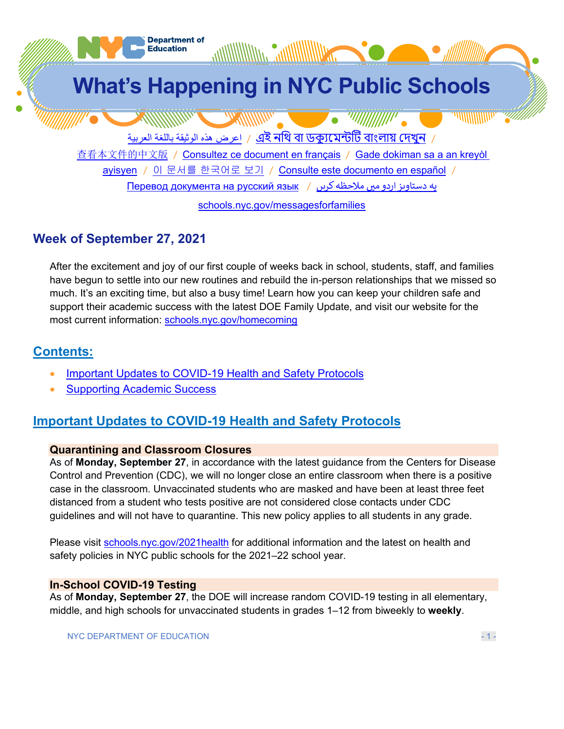

# **Week of September 27, 2021**

After the excitement and joy of our first couple of weeks back in school, students, staff, and families have begun to settle into our new routines and rebuild the in-person relationships that we missed so much. It's an exciting time, but also a busy time! Learn how you can keep your children safe and support their academic success with the latest DOE Family Update, and visit our website for the most current information: [schools.nyc.gov/homecoming](https://schools.nyc.gov/homecoming)

# **Contents:**

- [Important Updates to COVID-19 Health and Safety Protocols](#page-0-0)
- **[Supporting Academic Success](#page-2-0)**

# <span id="page-0-0"></span>**Important Updates to COVID-19 Health and Safety Protocols**

# **Quarantining and Classroom Closures**

As of **Monday, September 27**, in accordance with the latest guidance from the Centers for Disease Control and Prevention (CDC), we will no longer close an entire classroom when there is a positive case in the classroom. Unvaccinated students who are masked and have been at least three feet distanced from a student who tests positive are not considered close contacts under CDC guidelines and will not have to quarantine. This new policy applies to all students in any grade.

Please visit [schools.nyc.gov/2021health](https://schools.nyc.gov/2021health) for additional information and the latest on health and safety policies in NYC public schools for the 2021–22 school year.

# **In-School COVID-19 Testing**

As of **Monday, September 27**, the DOE will increase random COVID-19 testing in all elementary, middle, and high schools for unvaccinated students in grades 1–12 from biweekly to **weekly**.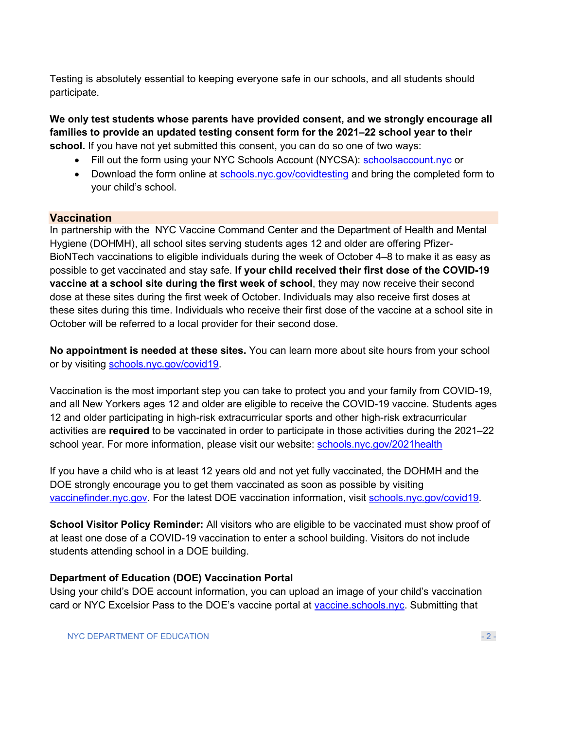Testing is absolutely essential to keeping everyone safe in our schools, and all students should participate.

**We only test students whose parents have provided consent, and we strongly encourage all families to provide an updated testing consent form for the 2021–22 school year to their school.** If you have not yet submitted this consent, you can do so one of two ways:

- Fill out the form using your NYC Schools Account (NYCSA): [schoolsaccount.nyc](https://schoolsaccount.nyc/) or
- Download the form online at [schools.nyc.gov/covidtesting](https://schools.nyc.gov/covidtesting) and bring the completed form to your child's school.

# **Vaccination**

In partnership with the NYC Vaccine Command Center and the Department of Health and Mental Hygiene (DOHMH), all school sites serving students ages 12 and older are offering Pfizer-BioNTech vaccinations to eligible individuals during the week of October 4–8 to make it as easy as possible to get vaccinated and stay safe. **If your child received their first dose of the COVID-19 vaccine at a school site during the first week of school**, they may now receive their second dose at these sites during the first week of October. Individuals may also receive first doses at these sites during this time. Individuals who receive their first dose of the vaccine at a school site in October will be referred to a local provider for their second dose.

**No appointment is needed at these sites.** You can learn more about site hours from your school or by visiting [schools.nyc.gov/covid19.](https://schools.nyc.gov/covid19)

Vaccination is the most important step you can take to protect you and your family from COVID-19, and all New Yorkers ages 12 and older are eligible to receive the COVID-19 vaccine. Students ages 12 and older participating in high-risk extracurricular sports and other high-risk extracurricular activities are **required** to be vaccinated in order to participate in those activities during the 2021–22 school year. For more information, please visit our website: [schools.nyc.gov/2021health](http://schools.nyc.gov/2021health)

If you have a child who is at least 12 years old and not yet fully vaccinated, the DOHMH and the DOE strongly encourage you to get them vaccinated as soon as possible by visiting [vaccinefinder.nyc.gov.](https://vaccinefinder.nyc.gov/) For the latest DOE vaccination information, visit [schools.nyc.gov/covid19.](https://schools.nyc.gov/covid19)

**School Visitor Policy Reminder:** All visitors who are eligible to be vaccinated must show proof of at least one dose of a COVID-19 vaccination to enter a school building. Visitors do not include students attending school in a DOE building.

#### **Department of Education (DOE) Vaccination Portal**

Using your child's DOE account information, you can upload an image of your child's vaccination card or NYC Excelsior Pass to the DOE's vaccine portal at [vaccine.schools.nyc.](https://vaccine.schools.nyc/) Submitting that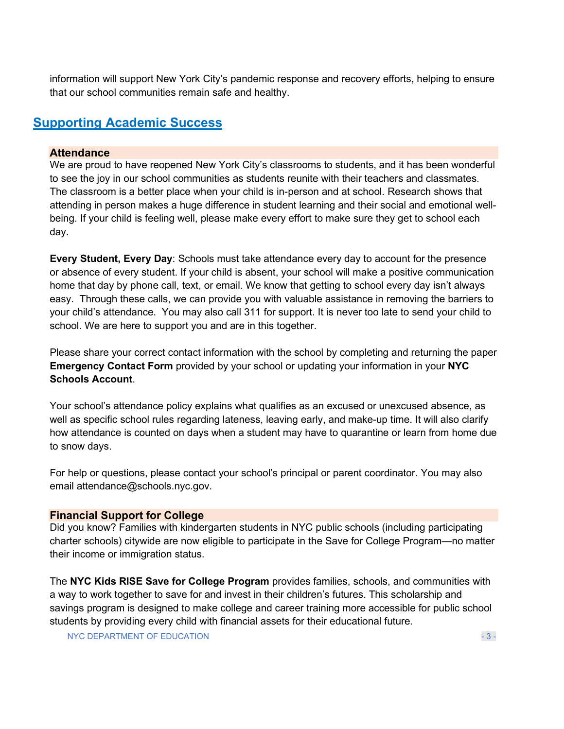information will support New York City's pandemic response and recovery efforts, helping to ensure that our school communities remain safe and healthy.

# <span id="page-2-0"></span>**Supporting Academic Success**

### **Attendance**

We are proud to have reopened New York City's classrooms to students, and it has been wonderful to see the joy in our school communities as students reunite with their teachers and classmates. The classroom is a better place when your child is in-person and at school. Research shows that attending in person makes a huge difference in student learning and their social and emotional wellbeing. If your child is feeling well, please make every effort to make sure they get to school each day.

**Every Student, Every Day**: Schools must take attendance every day to account for the presence or absence of every student. If your child is absent, your school will make a positive communication home that day by phone call, text, or email. We know that getting to school every day isn't always easy. Through these calls, we can provide you with valuable assistance in removing the barriers to your child's attendance. You may also call 311 for support. It is never too late to send your child to school. We are here to support you and are in this together.

Please share your correct contact information with the school by completing and returning the paper **Emergency Contact Form** provided by your school or updating your information in your **NYC Schools Account**.

Your school's attendance policy explains what qualifies as an excused or unexcused absence, as well as specific school rules regarding lateness, leaving early, and make-up time. It will also clarify how attendance is counted on days when a student may have to quarantine or learn from home due to snow days.

For help or questions, please contact your school's principal or parent coordinator. You may also email attendance@schools.nyc.gov.

# **Financial Support for College**

Did you know? Families with kindergarten students in NYC public schools (including participating charter schools) citywide are now eligible to participate in the Save for College Program—no matter their income or immigration status.

The **NYC Kids RISE Save for College Program** provides families, schools, and communities with a way to work together to save for and invest in their children's futures. This scholarship and savings program is designed to make college and career training more accessible for public school students by providing every child with financial assets for their educational future.

NYC DEPARTMENT OF EDUCATION  $-3 -$